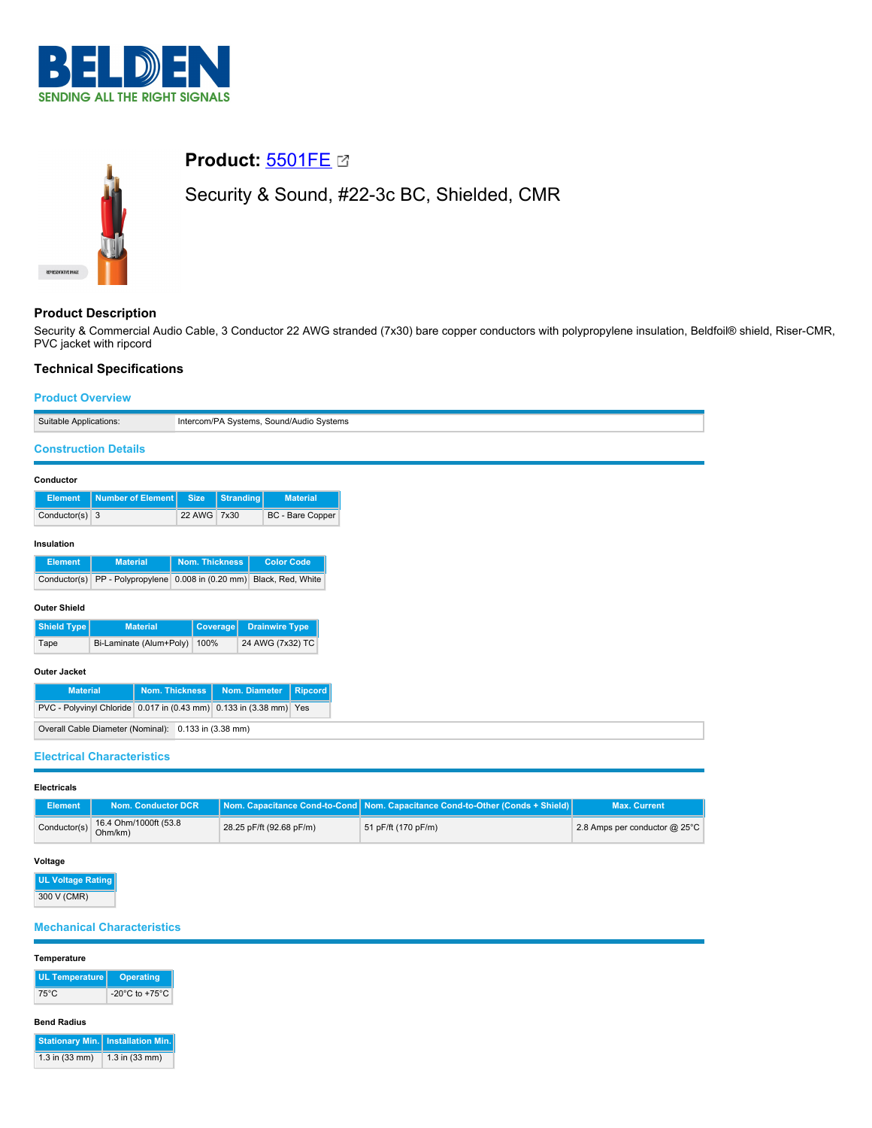



# **Product:** [5501FE](https://catalog.belden.com/index.cfm?event=pd&p=PF_5501FE&tab=downloads)

Security & Sound, #22-3c BC, Shielded, CMR

# **Product Description**

Security & Commercial Audio Cable, 3 Conductor 22 AWG stranded (7x30) bare copper conductors with polypropylene insulation, Beldfoil® shield, Riser-CMR, PVC jacket with ripcord

# **Technical Specifications**

## **Product Overview**

| Suitable Applications:<br>Intercom/PA Systems, Sound/Audio Systems |                       |                  |                       |
|--------------------------------------------------------------------|-----------------------|------------------|-----------------------|
| <b>Construction Details</b>                                        |                       |                  |                       |
| Conductor                                                          |                       |                  |                       |
| <b>Number of Element</b><br><b>Element</b>                         | <b>Size</b>           | <b>Stranding</b> | <b>Material</b>       |
| Conductor(s) $3$                                                   | 22 AWG 7x30           |                  | BC - Bare Copper      |
|                                                                    |                       |                  |                       |
| Insulation                                                         |                       |                  |                       |
| <b>Material</b><br><b>Element</b>                                  | Nom. Thickness        |                  | <b>Color Code</b>     |
| PP - Polypropylene 0.008 in (0.20 mm)<br>Conductor(s)              |                       |                  | Black, Red, White     |
| <b>Outer Shield</b>                                                |                       |                  |                       |
|                                                                    |                       |                  |                       |
| Shield Type<br><b>Material</b>                                     | Coverage              |                  | <b>Drainwire Type</b> |
| Bi-Laminate (Alum+Poly)<br>Tape                                    | 100%                  |                  | 24 AWG (7x32) TC      |
| <b>Outer Jacket</b>                                                |                       |                  |                       |
|                                                                    |                       |                  |                       |
| <b>Material</b>                                                    | <b>Nom. Thickness</b> | Nom. Diameter    | <b>Ripcord</b>        |
| PVC - Polyvinyl Chloride 0.017 in (0.43 mm) 0.133 in (3.38 mm) Yes |                       |                  |                       |
| Overall Cable Diameter (Nominal): 0.133 in (3.38 mm)               |                       |                  |                       |
|                                                                    |                       |                  |                       |
| <b>Electrical Characteristics</b>                                  |                       |                  |                       |

**Electricals**

| Element      | Nom. Conductor DCR               |                          | Nom. Capacitance Cond-to-Cond   Nom. Capacitance Cond-to-Other (Conds + Shield)   \ | <b>Max. Current</b>             |
|--------------|----------------------------------|--------------------------|-------------------------------------------------------------------------------------|---------------------------------|
| Conductor(s) | 16.4 Ohm/1000ft (53.8<br>Ohm/km) | 28.25 pF/ft (92.68 pF/m) | 51 pF/ft (170 pF/m)                                                                 | 2.8 Amps per conductor $@$ 25°C |

## **Voltage**

**UL Voltage Rating** 300 V (CMR)

# **Mechanical Characteristics**

#### **Temperature**

| <b>UL Temperature</b> | <b>Operating</b>                     |
|-----------------------|--------------------------------------|
| 75°C                  | -20 $^{\circ}$ C to +75 $^{\circ}$ C |

#### **Bend Radius**

|                    | <b>Stationary Min.   Installation Min.</b> |
|--------------------|--------------------------------------------|
| $1.3$ in $(33$ mm) | $1.3$ in $(33$ mm)                         |